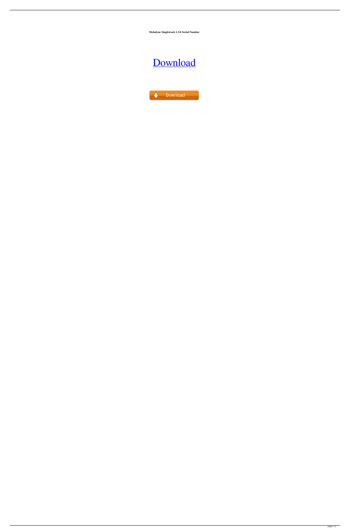**Melodyne Singletrack 1.3.0 Serial Number**

## [Download](http://evacdir.com/bWVsb2R5bmUgc2luZ2xldHJhY2sgMS4zLjAgc2VyaWFsIG51bWJlcgbWV/zephyrion/ZG93bmxvYWR8VmU5TVRsaGJIeDhNVFkxTWpjME1EZzJObng4TWpVM05IeDhLRTBwSUhKbFlXUXRZbXh2WnlCYlJtRnpkQ0JIUlU1ZA/tresemme/accosted.apprenticing?aristides=cuentame.helena)